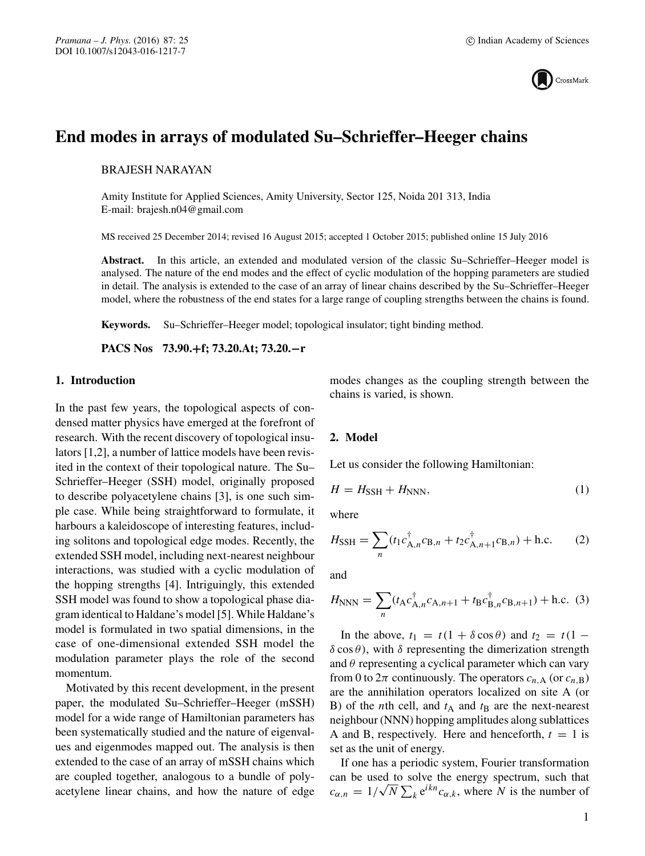

# **End modes in arrays of modulated Su–Schrieffer–Heeger chains**

BRAJESH NARAYAN

Amity Institute for Applied Sciences, Amity University, Sector 125, Noida 201 313, India E-mail: brajesh.n04@gmail.com

MS received 25 December 2014; revised 16 August 2015; accepted 1 October 2015; published online 15 July 2016

**Abstract.** In this article, an extended and modulated version of the classic Su–Schrieffer–Heeger model is analysed. The nature of the end modes and the effect of cyclic modulation of the hopping parameters are studied in detail. The analysis is extended to the case of an array of linear chains described by the Su–Schrieffer–Heeger model, where the robustness of the end states for a large range of coupling strengths between the chains is found.

**Keywords.** Su–Schrieffer–Heeger model; topological insulator; tight binding method.

**PACS Nos 73.90.+f; 73.20.At; 73.20.−r**

## **1. Introduction**

In the past few years, the topological aspects of condensed matter physics have emerged at the forefront of research. With the recent discovery of topological insulators [1,2], a number of lattice models have been revisited in the context of their topological nature. The Su– Schrieffer–Heeger (SSH) model, originally proposed to describe polyacetylene chains [3], is one such simple case. While being straightforward to formulate, it harbours a kaleidoscope of interesting features, including solitons and topological edge modes. Recently, the extended SSH model, including next-nearest neighbour interactions, was studied with a cyclic modulation of the hopping strengths [4]. Intriguingly, this extended SSH model was found to show a topological phase diagram identical to Haldane's model [5]. While Haldane's model is formulated in two spatial dimensions, in the case of one-dimensional extended SSH model the modulation parameter plays the role of the second momentum.

Motivated by this recent development, in the present paper, the modulated Su–Schrieffer–Heeger (mSSH) model for a wide range of Hamiltonian parameters has been systematically studied and the nature of eigenvalues and eigenmodes mapped out. The analysis is then extended to the case of an array of mSSH chains which are coupled together, analogous to a bundle of polyacetylene linear chains, and how the nature of edge modes changes as the coupling strength between the chains is varied, is shown.

## **2. Model**

Let us consider the following Hamiltonian:

$$
H = H_{\text{SSH}} + H_{\text{NNN}},\tag{1}
$$

where

$$
H_{\text{SSH}} = \sum_{n} (t_1 c_{\text{A},n}^{\dagger} c_{\text{B},n} + t_2 c_{\text{A},n+1}^{\dagger} c_{\text{B},n}) + \text{h.c.}
$$
 (2)

and

$$
H_{\text{NNN}} = \sum_{n} (t_{A} c_{A,n}^{\dagger} c_{A,n+1} + t_{B} c_{B,n}^{\dagger} c_{B,n+1}) + \text{h.c. (3)}
$$

In the above,  $t_1 = t(1 + \delta \cos \theta)$  and  $t_2 = t(1 \delta \cos \theta$ , with  $\delta$  representing the dimerization strength and  $\theta$  representing a cyclical parameter which can vary from 0 to  $2\pi$  continuously. The operators  $c_{n,A}$  (or  $c_{n,B}$ ) are the annihilation operators localized on site A (or B) of the *n*th cell, and  $t_A$  and  $t_B$  are the next-nearest neighbour (NNN) hopping amplitudes along sublattices A and B, respectively. Here and henceforth,  $t = 1$  is set as the unit of energy.

If one has a periodic system, Fourier transformation can be used to solve the energy spectrum, such that c<sub>α,n</sub> =  $1/\sqrt{N} \sum_{k} e^{ikn} c_{\alpha,k}$ , where N is the number of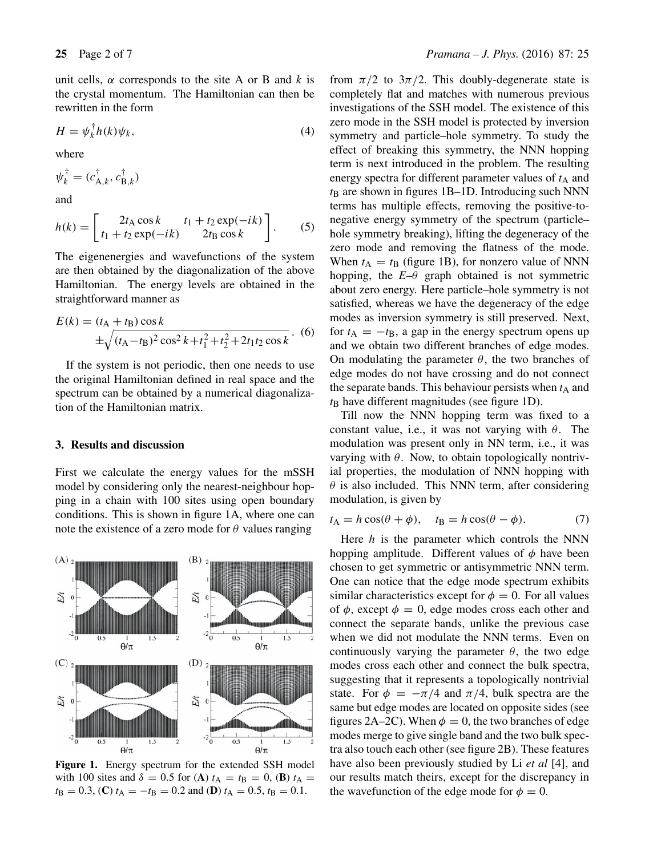unit cells,  $\alpha$  corresponds to the site A or B and k is the crystal momentum. The Hamiltonian can then be rewritten in the form

$$
H = \psi_k^{\dagger} h(k) \psi_k,\tag{4}
$$

where

$$
\psi_k^{\dagger} = (c_{\mathbf{A},k}^{\dagger}, c_{\mathbf{B},k}^{\dagger})
$$

and

$$
h(k) = \begin{bmatrix} 2t_A \cos k & t_1 + t_2 \exp(-ik) \\ t_1 + t_2 \exp(-ik) & 2t_B \cos k \end{bmatrix}.
$$
 (5)

The eigenenergies and wavefunctions of the system are then obtained by the diagonalization of the above Hamiltonian. The energy levels are obtained in the straightforward manner as

$$
E(k) = (t_{A} + t_{B}) \cos k
$$
  
 
$$
\pm \sqrt{(t_{A} - t_{B})^{2} \cos^{2} k + t_{1}^{2} + t_{2}^{2} + 2t_{1}t_{2} \cos k}.
$$
 (6)

If the system is not periodic, then one needs to use the original Hamiltonian defined in real space and the spectrum can be obtained by a numerical diagonalization of the Hamiltonian matrix.

#### **3. Results and discussion**

First we calculate the energy values for the mSSH model by considering only the nearest-neighbour hopping in a chain with 100 sites using open boundary conditions. This is shown in figure 1A, where one can note the existence of a zero mode for  $\theta$  values ranging



**Figure 1.** Energy spectrum for the extended SSH model with 100 sites and  $\delta = 0.5$  for (**A**)  $t_A = t_B = 0$ , (**B**)  $t_A =$  $t_{\text{B}} = 0.3$ , (**C**)  $t_{\text{A}} = -t_{\text{B}} = 0.2$  and (**D**)  $t_{\text{A}} = 0.5$ ,  $t_{\text{B}} = 0.1$ .

from  $\pi/2$  to  $3\pi/2$ . This doubly-degenerate state is completely flat and matches with numerous previous investigations of the SSH model. The existence of this zero mode in the SSH model is protected by inversion symmetry and particle–hole symmetry. To study the effect of breaking this symmetry, the NNN hopping term is next introduced in the problem. The resulting energy spectra for different parameter values of  $t_A$  and  $t<sub>B</sub>$  are shown in figures 1B–1D. Introducing such NNN terms has multiple effects, removing the positive-tonegative energy symmetry of the spectrum (particle– hole symmetry breaking), lifting the degeneracy of the zero mode and removing the flatness of the mode. When  $t_A = t_B$  (figure 1B), for nonzero value of NNN hopping, the  $E-\theta$  graph obtained is not symmetric about zero energy. Here particle–hole symmetry is not satisfied, whereas we have the degeneracy of the edge modes as inversion symmetry is still preserved. Next, for  $t_A = -t_B$ , a gap in the energy spectrum opens up and we obtain two different branches of edge modes. On modulating the parameter  $\theta$ , the two branches of edge modes do not have crossing and do not connect the separate bands. This behaviour persists when  $t_A$  and  $t_B$  have different magnitudes (see figure 1D).

Till now the NNN hopping term was fixed to a constant value, i.e., it was not varying with  $\theta$ . The modulation was present only in NN term, i.e., it was varying with  $\theta$ . Now, to obtain topologically nontrivial properties, the modulation of NNN hopping with  $\theta$  is also included. This NNN term, after considering modulation, is given by

$$
t_{\mathbf{A}} = h\cos(\theta + \phi), \quad t_{\mathbf{B}} = h\cos(\theta - \phi). \tag{7}
$$

Here  $h$  is the parameter which controls the NNN hopping amplitude. Different values of  $\phi$  have been chosen to get symmetric or antisymmetric NNN term. One can notice that the edge mode spectrum exhibits similar characteristics except for  $\phi = 0$ . For all values of  $\phi$ , except  $\phi = 0$ , edge modes cross each other and connect the separate bands, unlike the previous case when we did not modulate the NNN terms. Even on continuously varying the parameter  $\theta$ , the two edge modes cross each other and connect the bulk spectra, suggesting that it represents a topologically nontrivial state. For  $\phi = -\pi/4$  and  $\pi/4$ , bulk spectra are the same but edge modes are located on opposite sides (see figures 2A–2C). When  $\phi = 0$ , the two branches of edge modes merge to give single band and the two bulk spectra also touch each other (see figure 2B). These features have also been previously studied by Li *et al* [4], and our results match theirs, except for the discrepancy in the wavefunction of the edge mode for  $\phi = 0$ .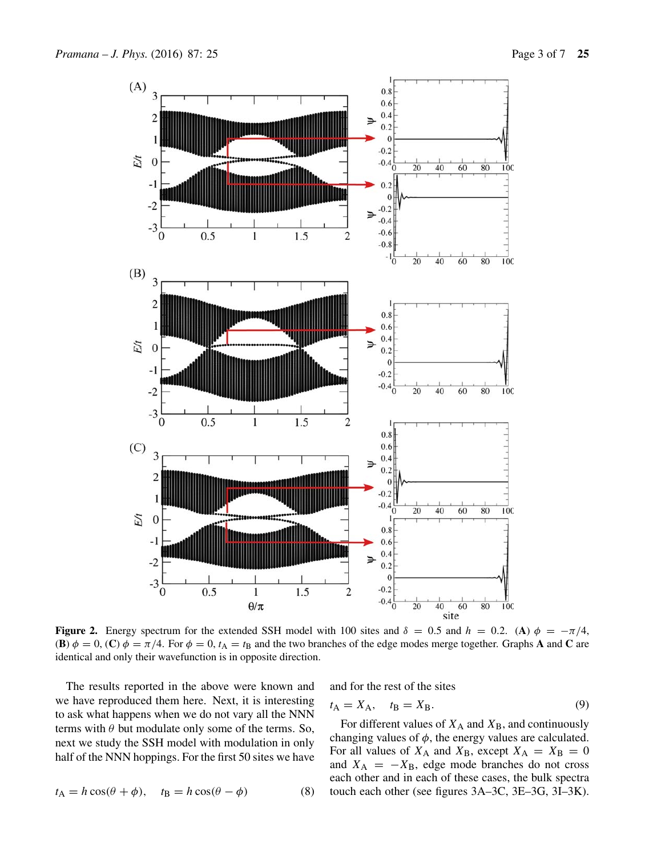

**Figure 2.** Energy spectrum for the extended SSH model with 100 sites and  $\delta = 0.5$  and  $h = 0.2$ . (**A**)  $\phi = -\pi/4$ , **(B)**  $\phi = 0$ , **(C)**  $\phi = \pi/4$ . For  $\phi = 0$ ,  $t_A = t_B$  and the two branches of the edge modes merge together. Graphs **A** and **C** are identical and only their wavefunction is in opposite direction.

The results reported in the above were known and we have reproduced them here. Next, it is interesting to ask what happens when we do not vary all the NNN terms with  $\theta$  but modulate only some of the terms. So, next we study the SSH model with modulation in only half of the NNN hoppings. For the first 50 sites we have

$$
t_{A} = h\cos(\theta + \phi), \quad t_{B} = h\cos(\theta - \phi)
$$
 (8)

and for the rest of the sites

$$
t_{\mathbf{A}} = X_{\mathbf{A}}, \quad t_{\mathbf{B}} = X_{\mathbf{B}}.
$$
\n
$$
(9)
$$

For different values of  $X_A$  and  $X_B$ , and continuously changing values of  $\phi$ , the energy values are calculated. For all values of  $X_A$  and  $X_B$ , except  $X_A = X_B = 0$ and  $X_A = -X_B$ , edge mode branches do not cross each other and in each of these cases, the bulk spectra touch each other (see figures 3A–3C, 3E–3G, 3I–3K).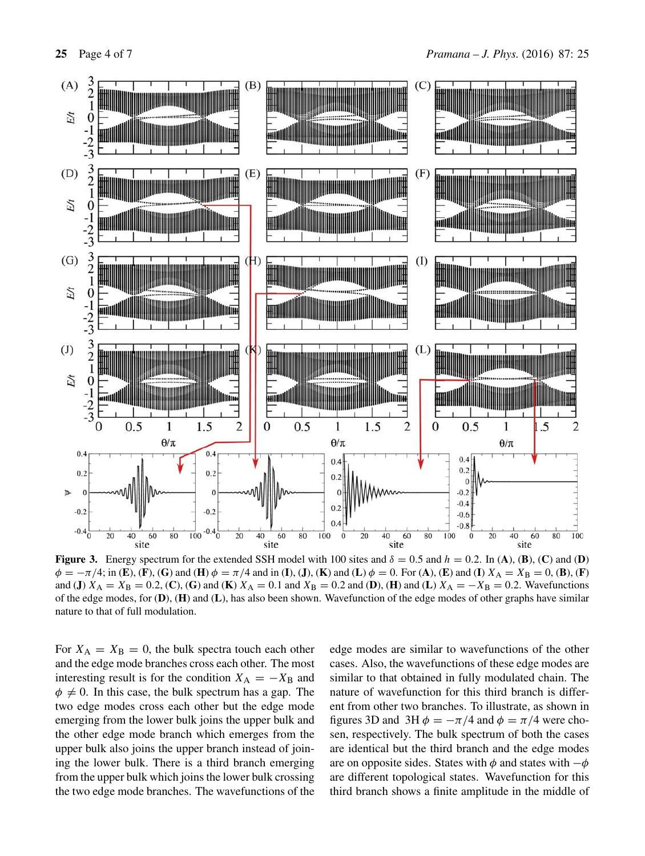

**Figure 3.** Energy spectrum for the extended SSH model with 100 sites and  $\delta = 0.5$  and  $h = 0.2$ . In (A), (B), (C) and (D)  $\phi = -\pi/4$ ; in (**E**), (**F**), (**G**) and (**H**)  $\phi = \pi/4$  and in (**I**), (**J**), (**K**) and (**L**)  $\phi = 0$ . For (**A**), (**E**) and (**I**)  $X_A = X_B = 0$ , (**B**), (**F**) and (**J**)  $X_A = X_B = 0.2$ , (**C**), (**G**) and (**K**)  $X_A = 0.1$  and  $X_B = 0.2$  and (**D**), (**H**) and (**L**)  $X_A = -X_B = 0.2$ . Wavefunctions of the edge modes, for (**D**), (**H**) and (**L**), has also been shown. Wavefunction of the edge modes of other graphs have similar nature to that of full modulation.

For  $X_A = X_B = 0$ , the bulk spectra touch each other and the edge mode branches cross each other. The most interesting result is for the condition  $X_A = -X_B$  and  $\phi \neq 0$ . In this case, the bulk spectrum has a gap. The two edge modes cross each other but the edge mode emerging from the lower bulk joins the upper bulk and the other edge mode branch which emerges from the upper bulk also joins the upper branch instead of joining the lower bulk. There is a third branch emerging from the upper bulk which joins the lower bulk crossing the two edge mode branches. The wavefunctions of the edge modes are similar to wavefunctions of the other cases. Also, the wavefunctions of these edge modes are similar to that obtained in fully modulated chain. The nature of wavefunction for this third branch is different from other two branches. To illustrate, as shown in figures 3D and 3H  $\phi = -\pi/4$  and  $\phi = \pi/4$  were chosen, respectively. The bulk spectrum of both the cases are identical but the third branch and the edge modes are on opposite sides. States with  $\phi$  and states with  $-\phi$ are different topological states. Wavefunction for this third branch shows a finite amplitude in the middle of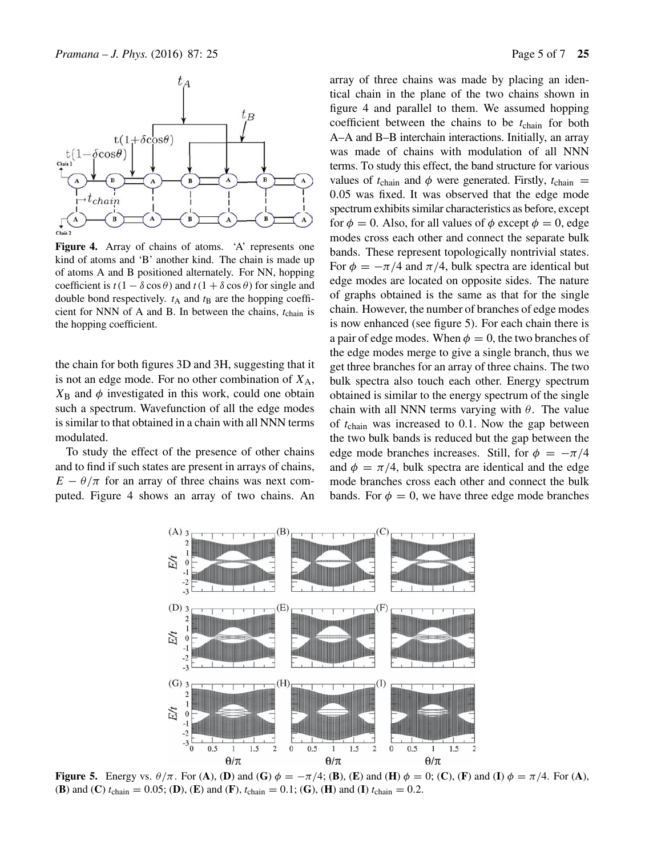

Figure 4. Array of chains of atoms. 'A' represents one kind of atoms and 'B' another kind. The chain is made up of atoms A and B positioned alternately. For NN, hopping coefficient is  $t(1 - \delta \cos \theta)$  and  $t(1 + \delta \cos \theta)$  for single and double bond respectively.  $t_A$  and  $t_B$  are the hopping coefficient for NNN of A and B. In between the chains,  $t_{chain}$  is the hopping coefficient.

the chain for both figures 3D and 3H, suggesting that it is not an edge mode. For no other combination of  $X_A$ ,  $X_{\text{B}}$  and  $\phi$  investigated in this work, could one obtain such a spectrum. Wavefunction of all the edge modes is similar to that obtained in a chain with all NNN terms modulated.

To study the effect of the presence of other chains and to find if such states are present in arrays of chains,  $E - \theta/\pi$  for an array of three chains was next computed. Figure 4 shows an array of two chains. An array of three chains was made by placing an identical chain in the plane of the two chains shown in figure 4 and parallel to them. We assumed hopping coefficient between the chains to be  $t_{chain}$  for both A–A and B–B interchain interactions. Initially, an array was made of chains with modulation of all NNN terms. To study this effect, the band structure for various values of  $t_{chain}$  and  $\phi$  were generated. Firstly,  $t_{chain}$  = 0.05 was fixed. It was observed that the edge mode spectrum exhibits similar characteristics as before, except for  $\phi = 0$ . Also, for all values of  $\phi$  except  $\phi = 0$ , edge modes cross each other and connect the separate bulk bands. These represent topologically nontrivial states. For  $\phi = -\pi/4$  and  $\pi/4$ , bulk spectra are identical but edge modes are located on opposite sides. The nature of graphs obtained is the same as that for the single chain. However, the number of branches of edge modes is now enhanced (see figure 5). For each chain there is a pair of edge modes. When  $\phi = 0$ , the two branches of the edge modes merge to give a single branch, thus we get three branches for an array of three chains. The two bulk spectra also touch each other. Energy spectrum obtained is similar to the energy spectrum of the single chain with all NNN terms varying with  $\theta$ . The value of  $t_{chain}$  was increased to 0.1. Now the gap between the two bulk bands is reduced but the gap between the edge mode branches increases. Still, for  $\phi = -\pi/4$ and  $\phi = \pi/4$ , bulk spectra are identical and the edge mode branches cross each other and connect the bulk bands. For  $\phi = 0$ , we have three edge mode branches



**Figure 5.** Energy vs.  $\theta/\pi$ . For (**A**), (**D**) and (**G**)  $\phi = -\pi/4$ ; (**B**), (**E**) and (**H**)  $\phi = 0$ ; (**C**), (**F**) and (**I**)  $\phi = \pi/4$ . For (**A**), (**B**) and (**C**)  $t_{chain} = 0.05$ ; (**D**), (**E**) and (**F**),  $t_{chain} = 0.1$ ; (**G**), (**H**) and (**I**)  $t_{chain} = 0.2$ .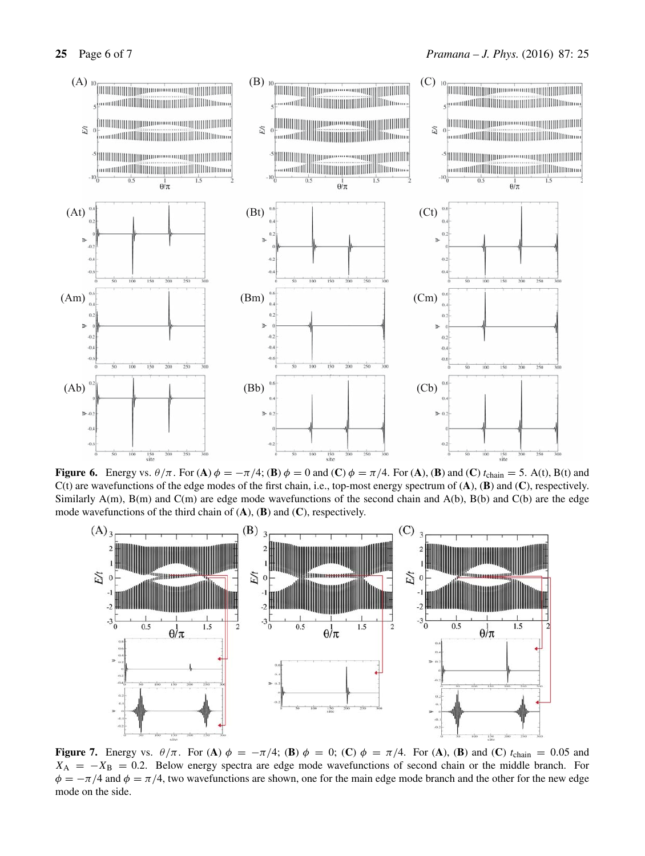

**Figure 6.** Energy vs.  $\theta/\pi$ . For (**A**)  $\phi = -\pi/4$ ; (**B**)  $\phi = 0$  and (**C**)  $\phi = \pi/4$ . For (**A**), (**B**) and (**C**)  $t_{chain} = 5$ . A(t), B(t) and C(t) are wavefunctions of the edge modes of the first chain, i.e., top-most energy spectrum of (**A**), (**B**) and (**C**), respectively. Similarly A(m), B(m) and C(m) are edge mode wavefunctions of the second chain and A(b), B(b) and C(b) are the edge mode wavefunctions of the third chain of (**A**), (**B**) and (**C**), respectively.



**Figure 7.** Energy vs.  $\theta/\pi$ . For (**A**)  $\phi = -\pi/4$ ; (**B**)  $\phi = 0$ ; (**C**)  $\phi = \pi/4$ . For (**A**), (**B**) and (**C**) t<sub>chain</sub> = 0.05 and  $X_A = -X_B = 0.2$ . Below energy spectra are edge mode wavefunctions of second chain or the middle branch. For  $\phi = -\pi/4$  and  $\phi = \pi/4$ , two wavefunctions are shown, one for the main edge mode branch and the other for the new edge mode on the side.